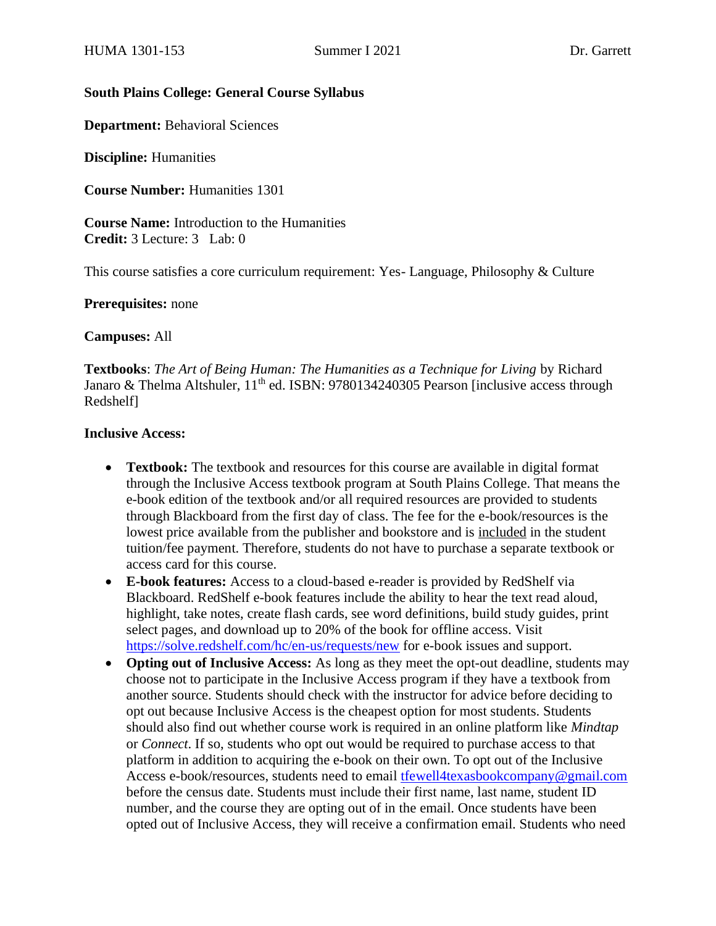### **South Plains College: General Course Syllabus**

**Department:** Behavioral Sciences

**Discipline:** Humanities

**Course Number:** Humanities 1301

**Course Name:** Introduction to the Humanities **Credit:** 3 Lecture: 3 Lab: 0

This course satisfies a core curriculum requirement: Yes- Language, Philosophy & Culture

**Prerequisites:** none

**Campuses:** All

**Textbooks**: *The Art of Being Human: The Humanities as a Technique for Living* by Richard Janaro & Thelma Altshuler, 11<sup>th</sup> ed. ISBN: 9780134240305 Pearson [inclusive access through Redshelf]

#### **Inclusive Access:**

- **Textbook:** The textbook and resources for this course are available in digital format through the Inclusive Access textbook program at South Plains College. That means the e-book edition of the textbook and/or all required resources are provided to students through Blackboard from the first day of class. The fee for the e-book/resources is the lowest price available from the publisher and bookstore and is included in the student tuition/fee payment. Therefore, students do not have to purchase a separate textbook or access card for this course.
- **E-book features:** Access to a cloud-based e-reader is provided by RedShelf via Blackboard. RedShelf e-book features include the ability to hear the text read aloud, highlight, take notes, create flash cards, see word definitions, build study guides, print select pages, and download up to 20% of the book for offline access. Visit <https://solve.redshelf.com/hc/en-us/requests/new> for e-book issues and support.
- **Opting out of Inclusive Access:** As long as they meet the opt-out deadline, students may choose not to participate in the Inclusive Access program if they have a textbook from another source. Students should check with the instructor for advice before deciding to opt out because Inclusive Access is the cheapest option for most students. Students should also find out whether course work is required in an online platform like *Mindtap* or *Connect*. If so, students who opt out would be required to purchase access to that platform in addition to acquiring the e-book on their own. To opt out of the Inclusive Access e-book/resources, students need to email [tfewell4texasbookcompany@gmail.com](mailto:tfewell4texasbookcompany@gmail.com) before the census date. Students must include their first name, last name, student ID number, and the course they are opting out of in the email. Once students have been opted out of Inclusive Access, they will receive a confirmation email. Students who need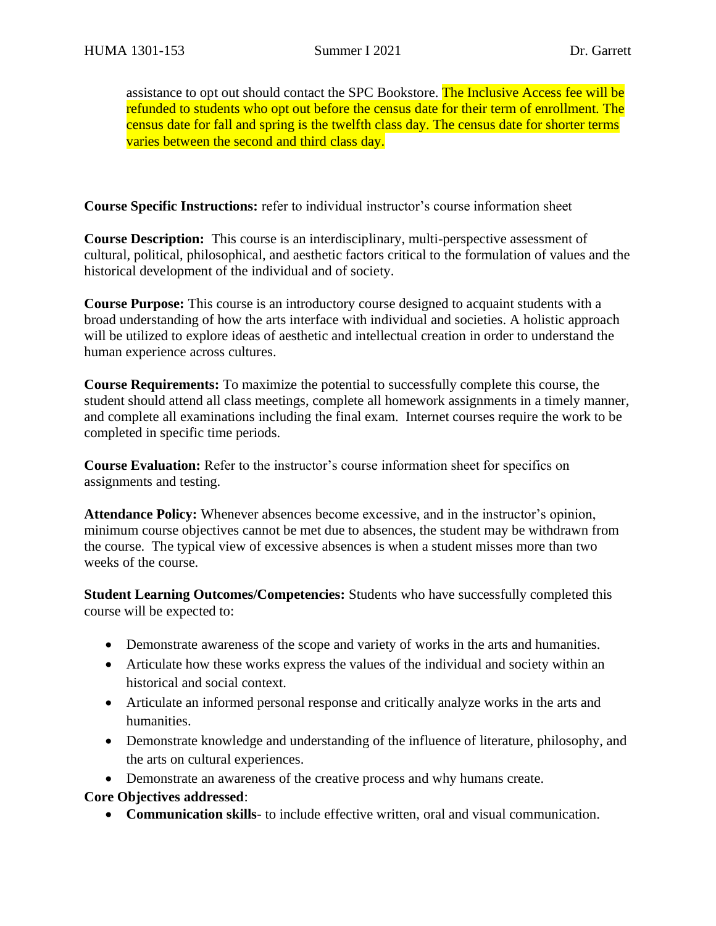assistance to opt out should contact the SPC Bookstore. The Inclusive Access fee will be refunded to students who opt out before the census date for their term of enrollment. The census date for fall and spring is the twelfth class day. The census date for shorter terms varies between the second and third class day.

**Course Specific Instructions:** refer to individual instructor's course information sheet

**Course Description:** This course is an interdisciplinary, multi-perspective assessment of cultural, political, philosophical, and aesthetic factors critical to the formulation of values and the historical development of the individual and of society.

**Course Purpose:** This course is an introductory course designed to acquaint students with a broad understanding of how the arts interface with individual and societies. A holistic approach will be utilized to explore ideas of aesthetic and intellectual creation in order to understand the human experience across cultures.

**Course Requirements:** To maximize the potential to successfully complete this course, the student should attend all class meetings, complete all homework assignments in a timely manner, and complete all examinations including the final exam. Internet courses require the work to be completed in specific time periods.

**Course Evaluation:** Refer to the instructor's course information sheet for specifics on assignments and testing.

**Attendance Policy:** Whenever absences become excessive, and in the instructor's opinion, minimum course objectives cannot be met due to absences, the student may be withdrawn from the course. The typical view of excessive absences is when a student misses more than two weeks of the course.

**Student Learning Outcomes/Competencies:** Students who have successfully completed this course will be expected to:

- Demonstrate awareness of the scope and variety of works in the arts and humanities.
- Articulate how these works express the values of the individual and society within an historical and social context.
- Articulate an informed personal response and critically analyze works in the arts and humanities.
- Demonstrate knowledge and understanding of the influence of literature, philosophy, and the arts on cultural experiences.
- Demonstrate an awareness of the creative process and why humans create.

**Core Objectives addressed**:

• **Communication skills**- to include effective written, oral and visual communication.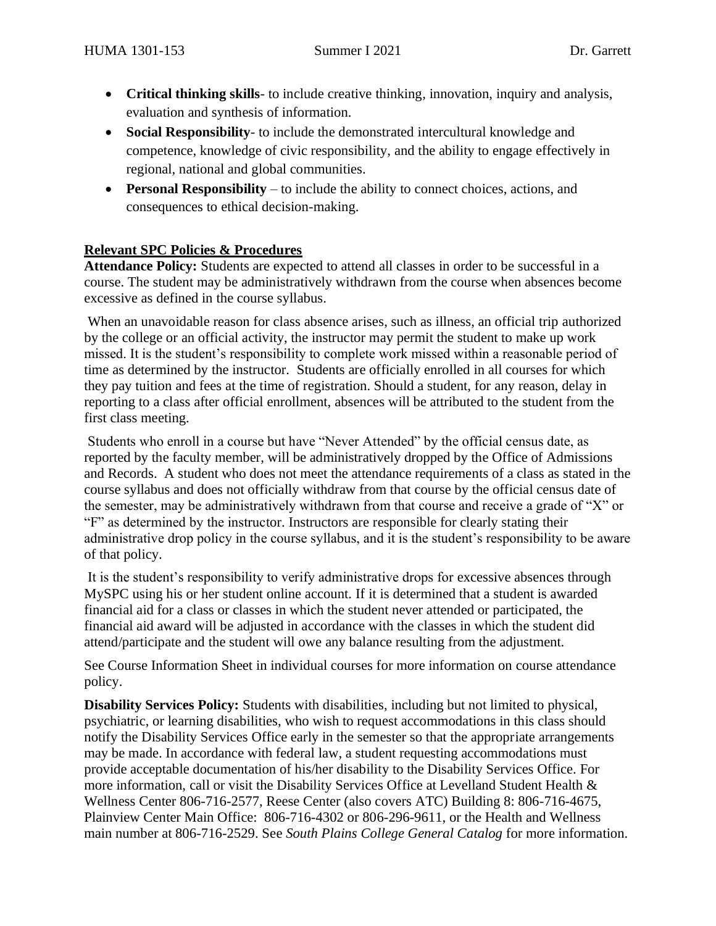- **Critical thinking skills** to include creative thinking, innovation, inquiry and analysis, evaluation and synthesis of information.
- **Social Responsibility** to include the demonstrated intercultural knowledge and competence, knowledge of civic responsibility, and the ability to engage effectively in regional, national and global communities.
- **Personal Responsibility** to include the ability to connect choices, actions, and consequences to ethical decision-making.

## **Relevant SPC Policies & Procedures**

**Attendance Policy:** Students are expected to attend all classes in order to be successful in a course. The student may be administratively withdrawn from the course when absences become excessive as defined in the course syllabus.

When an unavoidable reason for class absence arises, such as illness, an official trip authorized by the college or an official activity, the instructor may permit the student to make up work missed. It is the student's responsibility to complete work missed within a reasonable period of time as determined by the instructor. Students are officially enrolled in all courses for which they pay tuition and fees at the time of registration. Should a student, for any reason, delay in reporting to a class after official enrollment, absences will be attributed to the student from the first class meeting.

Students who enroll in a course but have "Never Attended" by the official census date, as reported by the faculty member, will be administratively dropped by the Office of Admissions and Records. A student who does not meet the attendance requirements of a class as stated in the course syllabus and does not officially withdraw from that course by the official census date of the semester, may be administratively withdrawn from that course and receive a grade of "X" or "F" as determined by the instructor. Instructors are responsible for clearly stating their administrative drop policy in the course syllabus, and it is the student's responsibility to be aware of that policy.

It is the student's responsibility to verify administrative drops for excessive absences through MySPC using his or her student online account. If it is determined that a student is awarded financial aid for a class or classes in which the student never attended or participated, the financial aid award will be adjusted in accordance with the classes in which the student did attend/participate and the student will owe any balance resulting from the adjustment.

See Course Information Sheet in individual courses for more information on course attendance policy.

**Disability Services Policy:** Students with disabilities, including but not limited to physical, psychiatric, or learning disabilities, who wish to request accommodations in this class should notify the Disability Services Office early in the semester so that the appropriate arrangements may be made. In accordance with federal law, a student requesting accommodations must provide acceptable documentation of his/her disability to the Disability Services Office. For more information, call or visit the Disability Services Office at Levelland Student Health & Wellness Center 806-716-2577, Reese Center (also covers ATC) Building 8: 806-716-4675, Plainview Center Main Office: 806-716-4302 or 806-296-9611, or the Health and Wellness main number at 806-716-2529. See *South Plains College General Catalog* for more information.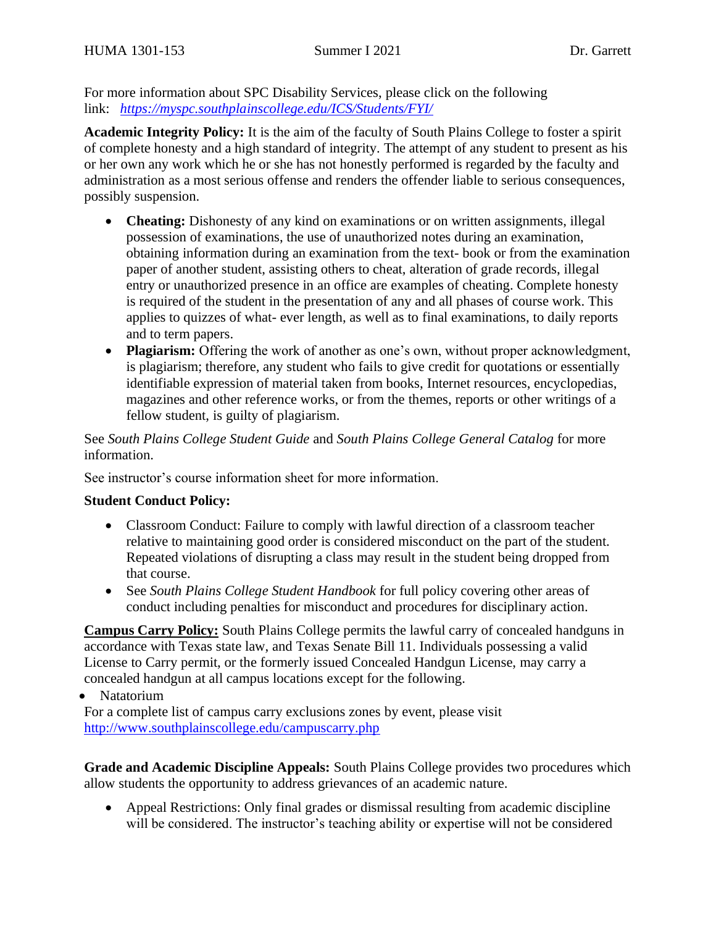For more information about SPC Disability Services, please click on the following link: *<https://myspc.southplainscollege.edu/ICS/Students/FYI/>*

**Academic Integrity Policy:** It is the aim of the faculty of South Plains College to foster a spirit of complete honesty and a high standard of integrity. The attempt of any student to present as his or her own any work which he or she has not honestly performed is regarded by the faculty and administration as a most serious offense and renders the offender liable to serious consequences, possibly suspension.

- **Cheating:** Dishonesty of any kind on examinations or on written assignments, illegal possession of examinations, the use of unauthorized notes during an examination, obtaining information during an examination from the text- book or from the examination paper of another student, assisting others to cheat, alteration of grade records, illegal entry or unauthorized presence in an office are examples of cheating. Complete honesty is required of the student in the presentation of any and all phases of course work. This applies to quizzes of what- ever length, as well as to final examinations, to daily reports and to term papers.
- **Plagiarism:** Offering the work of another as one's own, without proper acknowledgment, is plagiarism; therefore, any student who fails to give credit for quotations or essentially identifiable expression of material taken from books, Internet resources, encyclopedias, magazines and other reference works, or from the themes, reports or other writings of a fellow student, is guilty of plagiarism.

See *South Plains College Student Guide* and *South Plains College General Catalog* for more information.

See instructor's course information sheet for more information.

#### **Student Conduct Policy:**

- Classroom Conduct: Failure to comply with lawful direction of a classroom teacher relative to maintaining good order is considered misconduct on the part of the student. Repeated violations of disrupting a class may result in the student being dropped from that course.
- See *South Plains College Student Handbook* for full policy covering other areas of conduct including penalties for misconduct and procedures for disciplinary action.

**Campus Carry Policy:** South Plains College permits the lawful carry of concealed handguns in accordance with Texas state law, and Texas Senate Bill 11. Individuals possessing a valid License to Carry permit, or the formerly issued Concealed Handgun License, may carry a concealed handgun at all campus locations except for the following.

• Natatorium

For a complete list of campus carry exclusions zones by event, please visit <http://www.southplainscollege.edu/campuscarry.php>

**Grade and Academic Discipline Appeals:** South Plains College provides two procedures which allow students the opportunity to address grievances of an academic nature.

• Appeal Restrictions: Only final grades or dismissal resulting from academic discipline will be considered. The instructor's teaching ability or expertise will not be considered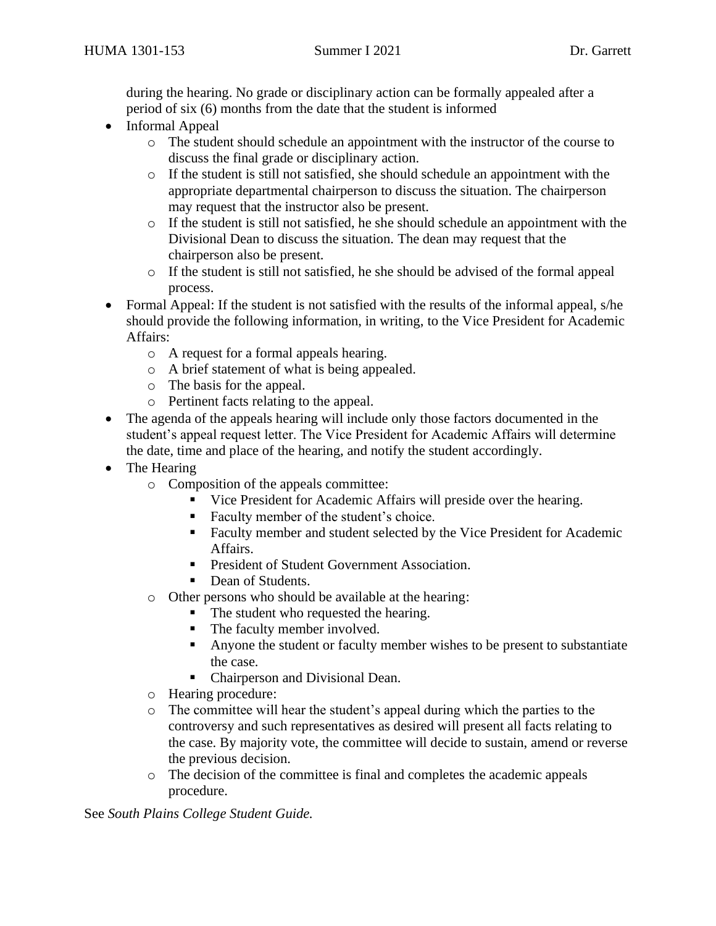during the hearing. No grade or disciplinary action can be formally appealed after a period of six (6) months from the date that the student is informed

- Informal Appeal
	- o The student should schedule an appointment with the instructor of the course to discuss the final grade or disciplinary action.
	- o If the student is still not satisfied, she should schedule an appointment with the appropriate departmental chairperson to discuss the situation. The chairperson may request that the instructor also be present.
	- $\circ$  If the student is still not satisfied, he she should schedule an appointment with the Divisional Dean to discuss the situation. The dean may request that the chairperson also be present.
	- o If the student is still not satisfied, he she should be advised of the formal appeal process.
- Formal Appeal: If the student is not satisfied with the results of the informal appeal, s/he should provide the following information, in writing, to the Vice President for Academic Affairs:
	- o A request for a formal appeals hearing.
	- o A brief statement of what is being appealed.
	- o The basis for the appeal.
	- o Pertinent facts relating to the appeal.
- The agenda of the appeals hearing will include only those factors documented in the student's appeal request letter. The Vice President for Academic Affairs will determine the date, time and place of the hearing, and notify the student accordingly.
- The Hearing
	- o Composition of the appeals committee:
		- Vice President for Academic Affairs will preside over the hearing.
		- Faculty member of the student's choice.
		- Faculty member and student selected by the Vice President for Academic Affairs.
		- President of Student Government Association.
		- Dean of Students.
	- o Other persons who should be available at the hearing:
		- The student who requested the hearing.
		- The faculty member involved.
		- Anyone the student or faculty member wishes to be present to substantiate the case.
		- Chairperson and Divisional Dean.
	- o Hearing procedure:
	- $\circ$  The committee will hear the student's appeal during which the parties to the controversy and such representatives as desired will present all facts relating to the case. By majority vote, the committee will decide to sustain, amend or reverse the previous decision.
	- o The decision of the committee is final and completes the academic appeals procedure.

See *South Plains College Student Guide.*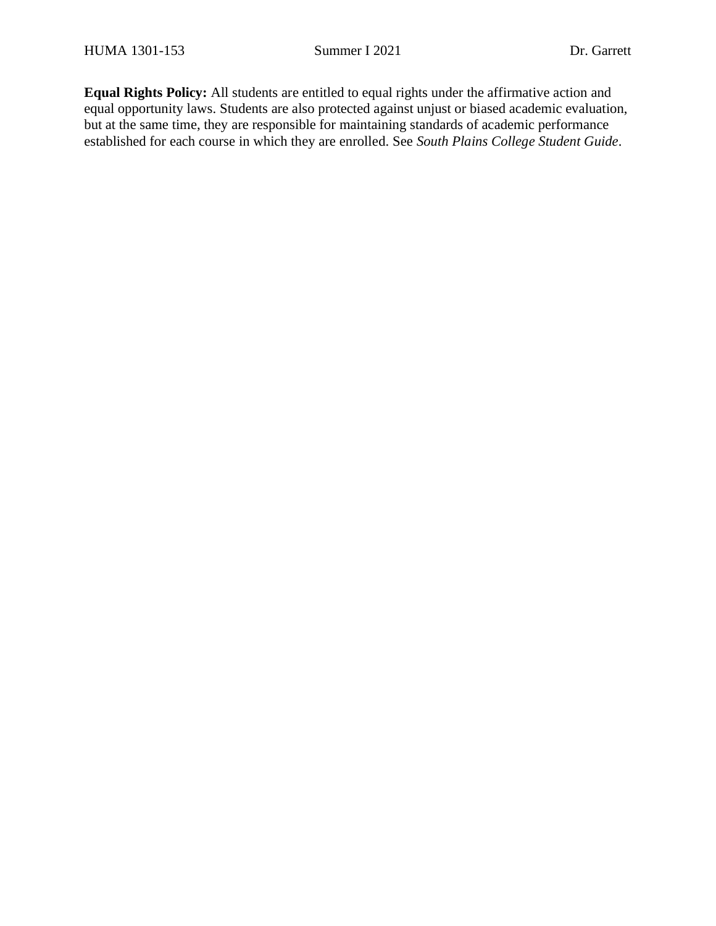**Equal Rights Policy:** All students are entitled to equal rights under the affirmative action and equal opportunity laws. Students are also protected against unjust or biased academic evaluation, but at the same time, they are responsible for maintaining standards of academic performance established for each course in which they are enrolled. See *South Plains College Student Guide*.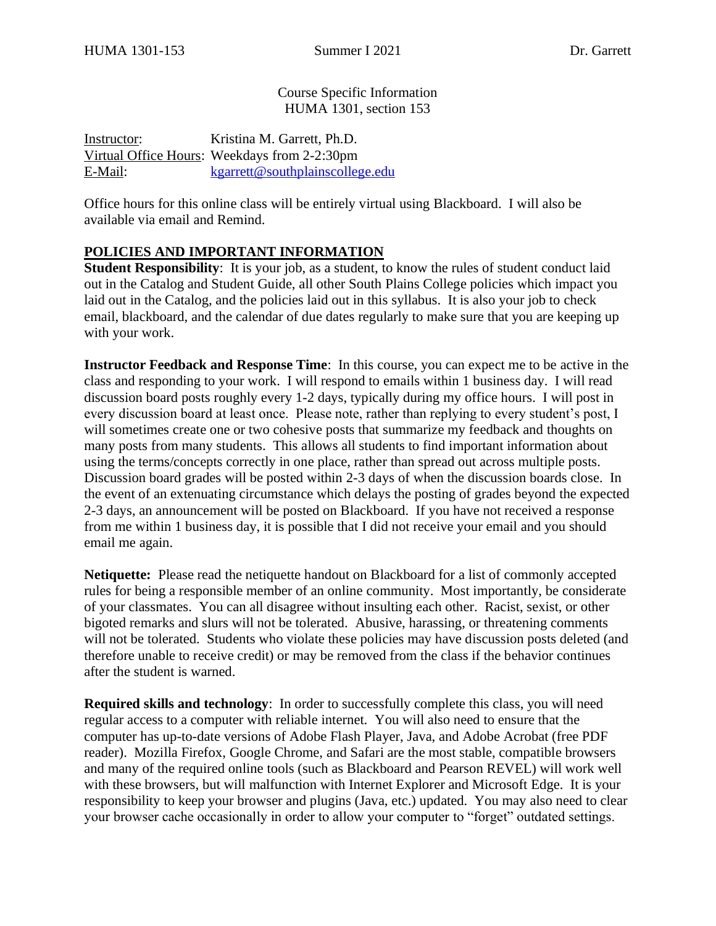Course Specific Information HUMA 1301, section 153

Instructor: Kristina M. Garrett, Ph.D. Virtual Office Hours: Weekdays from 2-2:30pm E-Mail: [kgarrett@southplainscollege.edu](mailto:kgarrett@southplainscollege.edu?subject=[HUMA%201301-151])

Office hours for this online class will be entirely virtual using Blackboard. I will also be available via email and Remind.

### **POLICIES AND IMPORTANT INFORMATION**

**Student Responsibility:** It is your job, as a student, to know the rules of student conduct laid out in the Catalog and Student Guide, all other South Plains College policies which impact you laid out in the Catalog, and the policies laid out in this syllabus. It is also your job to check email, blackboard, and the calendar of due dates regularly to make sure that you are keeping up with your work.

**Instructor Feedback and Response Time**: In this course, you can expect me to be active in the class and responding to your work. I will respond to emails within 1 business day. I will read discussion board posts roughly every 1-2 days, typically during my office hours. I will post in every discussion board at least once. Please note, rather than replying to every student's post, I will sometimes create one or two cohesive posts that summarize my feedback and thoughts on many posts from many students. This allows all students to find important information about using the terms/concepts correctly in one place, rather than spread out across multiple posts. Discussion board grades will be posted within 2-3 days of when the discussion boards close. In the event of an extenuating circumstance which delays the posting of grades beyond the expected 2-3 days, an announcement will be posted on Blackboard. If you have not received a response from me within 1 business day, it is possible that I did not receive your email and you should email me again.

**Netiquette:** Please read the netiquette handout on Blackboard for a list of commonly accepted rules for being a responsible member of an online community. Most importantly, be considerate of your classmates. You can all disagree without insulting each other. Racist, sexist, or other bigoted remarks and slurs will not be tolerated. Abusive, harassing, or threatening comments will not be tolerated. Students who violate these policies may have discussion posts deleted (and therefore unable to receive credit) or may be removed from the class if the behavior continues after the student is warned.

**Required skills and technology**: In order to successfully complete this class, you will need regular access to a computer with reliable internet. You will also need to ensure that the computer has up-to-date versions of Adobe Flash Player, Java, and Adobe Acrobat (free PDF reader). Mozilla Firefox, Google Chrome, and Safari are the most stable, compatible browsers and many of the required online tools (such as Blackboard and Pearson REVEL) will work well with these browsers, but will malfunction with Internet Explorer and Microsoft Edge. It is your responsibility to keep your browser and plugins (Java, etc.) updated. You may also need to clear your browser cache occasionally in order to allow your computer to "forget" outdated settings.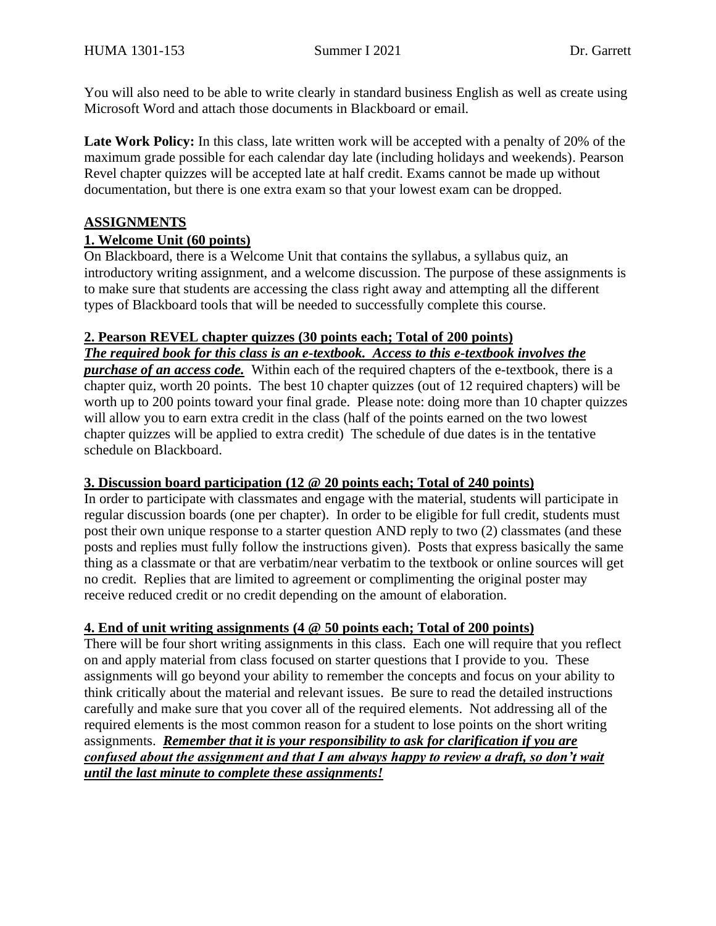You will also need to be able to write clearly in standard business English as well as create using Microsoft Word and attach those documents in Blackboard or email.

Late Work Policy: In this class, late written work will be accepted with a penalty of 20% of the maximum grade possible for each calendar day late (including holidays and weekends). Pearson Revel chapter quizzes will be accepted late at half credit. Exams cannot be made up without documentation, but there is one extra exam so that your lowest exam can be dropped.

# **ASSIGNMENTS**

# **1. Welcome Unit (60 points)**

On Blackboard, there is a Welcome Unit that contains the syllabus, a syllabus quiz, an introductory writing assignment, and a welcome discussion. The purpose of these assignments is to make sure that students are accessing the class right away and attempting all the different types of Blackboard tools that will be needed to successfully complete this course.

## **2. Pearson REVEL chapter quizzes (30 points each; Total of 200 points)**

*The required book for this class is an e-textbook. Access to this e-textbook involves the* 

*purchase of an access code.* Within each of the required chapters of the e-textbook, there is a chapter quiz, worth 20 points. The best 10 chapter quizzes (out of 12 required chapters) will be worth up to 200 points toward your final grade. Please note: doing more than 10 chapter quizzes will allow you to earn extra credit in the class (half of the points earned on the two lowest chapter quizzes will be applied to extra credit) The schedule of due dates is in the tentative schedule on Blackboard.

## **3. Discussion board participation (12 @ 20 points each; Total of 240 points)**

In order to participate with classmates and engage with the material, students will participate in regular discussion boards (one per chapter). In order to be eligible for full credit, students must post their own unique response to a starter question AND reply to two (2) classmates (and these posts and replies must fully follow the instructions given). Posts that express basically the same thing as a classmate or that are verbatim/near verbatim to the textbook or online sources will get no credit. Replies that are limited to agreement or complimenting the original poster may receive reduced credit or no credit depending on the amount of elaboration.

## **4. End of unit writing assignments (4 @ 50 points each; Total of 200 points)**

There will be four short writing assignments in this class. Each one will require that you reflect on and apply material from class focused on starter questions that I provide to you. These assignments will go beyond your ability to remember the concepts and focus on your ability to think critically about the material and relevant issues. Be sure to read the detailed instructions carefully and make sure that you cover all of the required elements. Not addressing all of the required elements is the most common reason for a student to lose points on the short writing assignments. *Remember that it is your responsibility to ask for clarification if you are confused about the assignment and that I am always happy to review a draft, so don't wait until the last minute to complete these assignments!*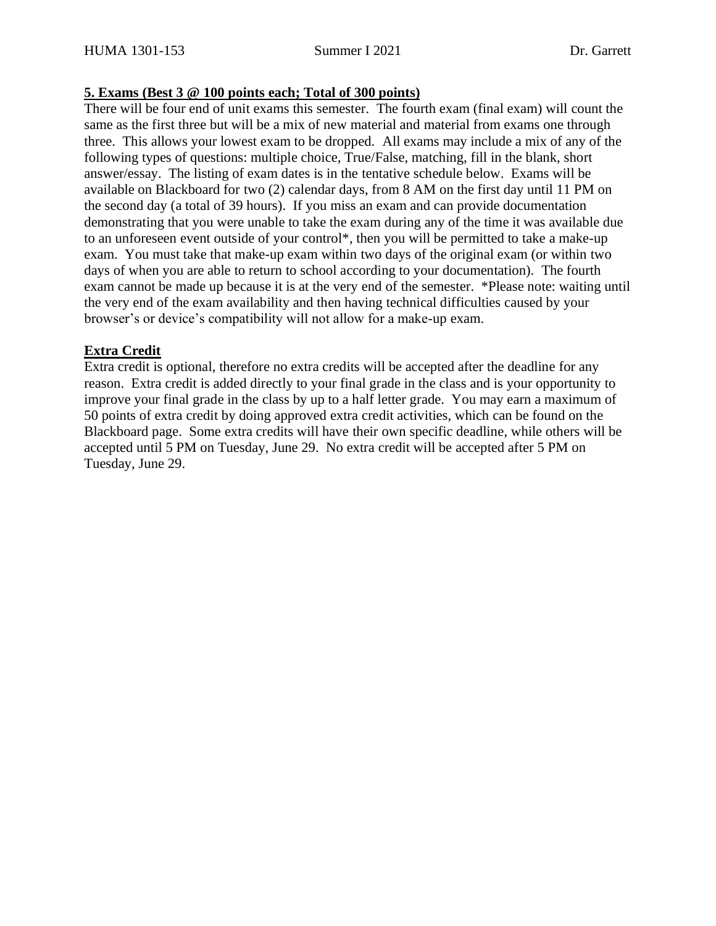#### **5. Exams (Best 3 @ 100 points each; Total of 300 points)**

There will be four end of unit exams this semester. The fourth exam (final exam) will count the same as the first three but will be a mix of new material and material from exams one through three. This allows your lowest exam to be dropped. All exams may include a mix of any of the following types of questions: multiple choice, True/False, matching, fill in the blank, short answer/essay. The listing of exam dates is in the tentative schedule below. Exams will be available on Blackboard for two (2) calendar days, from 8 AM on the first day until 11 PM on the second day (a total of 39 hours). If you miss an exam and can provide documentation demonstrating that you were unable to take the exam during any of the time it was available due to an unforeseen event outside of your control\*, then you will be permitted to take a make-up exam. You must take that make-up exam within two days of the original exam (or within two days of when you are able to return to school according to your documentation). The fourth exam cannot be made up because it is at the very end of the semester. \*Please note: waiting until the very end of the exam availability and then having technical difficulties caused by your browser's or device's compatibility will not allow for a make-up exam.

### **Extra Credit**

Extra credit is optional, therefore no extra credits will be accepted after the deadline for any reason. Extra credit is added directly to your final grade in the class and is your opportunity to improve your final grade in the class by up to a half letter grade. You may earn a maximum of 50 points of extra credit by doing approved extra credit activities, which can be found on the Blackboard page. Some extra credits will have their own specific deadline, while others will be accepted until 5 PM on Tuesday, June 29. No extra credit will be accepted after 5 PM on Tuesday, June 29.